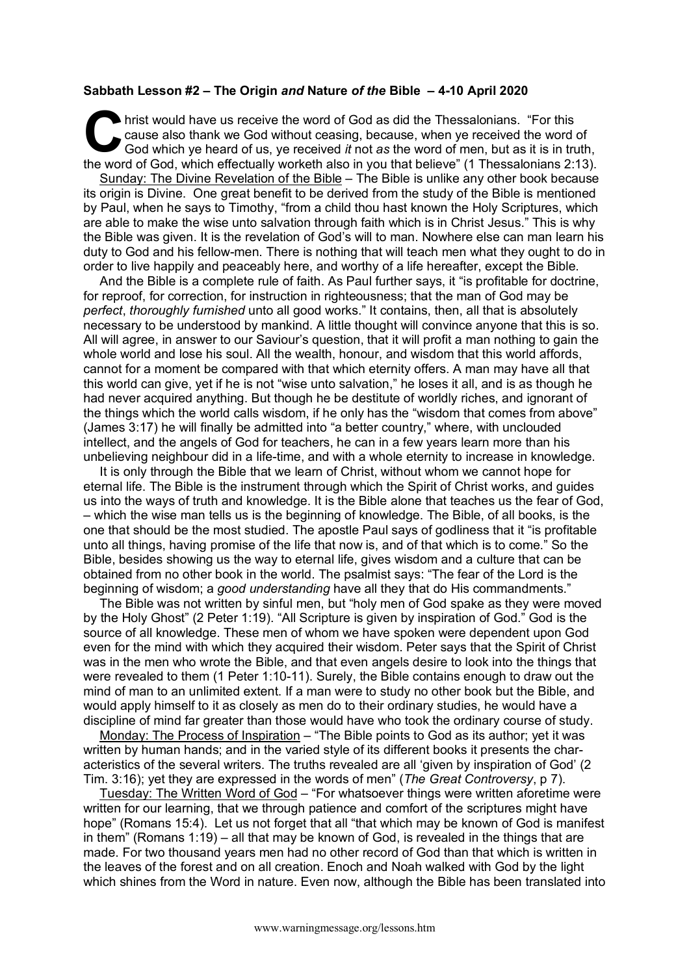## **Sabbath Lesson #2 – The Origin** *and* **Nature** *of the* **Bible – 4-10 April 2020**

hrist would have us receive the word of God as did the Thessalonians. "For this cause also thank we God without ceasing, because, when ye received the word of God which ye heard of us, ye received *it* not *as* the word of men, but as it is in truth, the word of God, which effectually worketh also in you that believe" (1 Thessalonians 2:13). C call<br>Go Call

Sunday: The Divine Revelation of the Bible – The Bible is unlike any other book because its origin is Divine. One great benefit to be derived from the study of the Bible is mentioned by Paul, when he says to Timothy, "from a child thou hast known the Holy Scriptures, which are able to make the wise unto salvation through faith which is in Christ Jesus." This is why the Bible was given. It is the revelation of God's will to man. Nowhere else can man learn his duty to God and his fellow-men. There is nothing that will teach men what they ought to do in order to live happily and peaceably here, and worthy of a life hereafter, except the Bible.

And the Bible is a complete rule of faith. As Paul further says, it "is profitable for doctrine, for reproof, for correction, for instruction in righteousness; that the man of God may be *perfect*, *thoroughly furnished* unto all good works." It contains, then, all that is absolutely necessary to be understood by mankind. A little thought will convince anyone that this is so. All will agree, in answer to our Saviour's question, that it will profit a man nothing to gain the whole world and lose his soul. All the wealth, honour, and wisdom that this world affords, cannot for a moment be compared with that which eternity offers. A man may have all that this world can give, yet if he is not "wise unto salvation," he loses it all, and is as though he had never acquired anything. But though he be destitute of worldly riches, and ignorant of the things which the world calls wisdom, if he only has the "wisdom that comes from above" (James 3:17) he will finally be admitted into "a better country," where, with unclouded intellect, and the angels of God for teachers, he can in a few years learn more than his unbelieving neighbour did in a life-time, and with a whole eternity to increase in knowledge.

It is only through the Bible that we learn of Christ, without whom we cannot hope for eternal life. The Bible is the instrument through which the Spirit of Christ works, and guides us into the ways of truth and knowledge. It is the Bible alone that teaches us the fear of God, – which the wise man tells us is the beginning of knowledge. The Bible, of all books, is the one that should be the most studied. The apostle Paul says of godliness that it "is profitable unto all things, having promise of the life that now is, and of that which is to come." So the Bible, besides showing us the way to eternal life, gives wisdom and a culture that can be obtained from no other book in the world. The psalmist says: "The fear of the Lord is the beginning of wisdom; a *good understanding* have all they that do His commandments."

The Bible was not written by sinful men, but "holy men of God spake as they were moved by the Holy Ghost" (2 Peter 1:19). "All Scripture is given by inspiration of God." God is the source of all knowledge. These men of whom we have spoken were dependent upon God even for the mind with which they acquired their wisdom. Peter says that the Spirit of Christ was in the men who wrote the Bible, and that even angels desire to look into the things that were revealed to them (1 Peter 1:10-11). Surely, the Bible contains enough to draw out the mind of man to an unlimited extent. If a man were to study no other book but the Bible, and would apply himself to it as closely as men do to their ordinary studies, he would have a discipline of mind far greater than those would have who took the ordinary course of study.

Monday: The Process of Inspiration – "The Bible points to God as its author; yet it was written by human hands; and in the varied style of its different books it presents the characteristics of the several writers. The truths revealed are all 'given by inspiration of God' (2 Tim. 3:16); yet they are expressed in the words of men" (*The Great Controversy*, p 7).

Tuesday: The Written Word of God – "For whatsoever things were written aforetime were written for our learning, that we through patience and comfort of the scriptures might have hope" (Romans 15:4). Let us not forget that all "that which may be known of God is manifest in them" (Romans 1:19) – all that may be known of God, is revealed in the things that are made. For two thousand years men had no other record of God than that which is written in the leaves of the forest and on all creation. Enoch and Noah walked with God by the light which shines from the Word in nature. Even now, although the Bible has been translated into